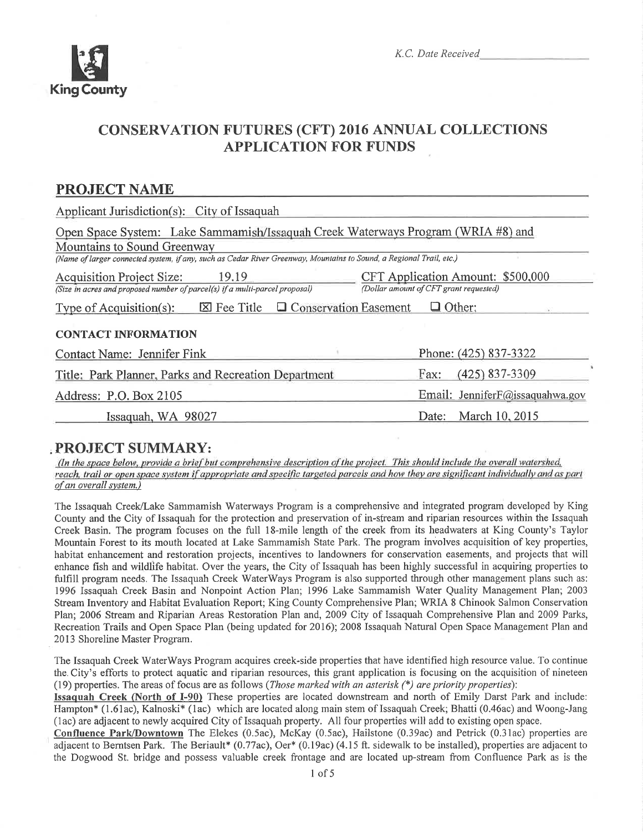

# CONSERVATTON FUTURES (CFT) 2016 ANNUAL COLLECTIONS APPLICATION FOR FUNDS

# PROJECT NAME

| Applicant Jurisdiction(s): City of Issaquah                                                                              |                                                                             |  |  |  |  |
|--------------------------------------------------------------------------------------------------------------------------|-----------------------------------------------------------------------------|--|--|--|--|
| Open Space System: Lake Sammamish/Issaquah Creek Waterways Program (WRIA #8) and                                         |                                                                             |  |  |  |  |
| Mountains to Sound Greenway                                                                                              |                                                                             |  |  |  |  |
| (Name of larger connected system, if any, such as Cedar River Greenway, Mountains to Sound, a Regional Trail, etc.)      |                                                                             |  |  |  |  |
| <b>Acquisition Project Size:</b><br>19.19<br>(Size in acres and proposed number of parcel(s) if a multi-parcel proposal) | CFT Application Amount: \$500,000<br>(Dollar amount of CFT grant requested) |  |  |  |  |
| $\boxtimes$ Fee Title $\Box$ Conservation Easement<br>$\Box$ Other:<br>Type of Acquisition(s):                           |                                                                             |  |  |  |  |
| <b>CONTACT INFORMATION</b>                                                                                               |                                                                             |  |  |  |  |
| Contact Name: Jennifer Fink                                                                                              | Phone: (425) 837-3322                                                       |  |  |  |  |
| Title: Park Planner, Parks and Recreation Department                                                                     | (425) 837-3309<br>Fax:                                                      |  |  |  |  |
| Address: P.O. Box 2105                                                                                                   | Email: Jennifer $F$ @issaquahwa.gov                                         |  |  |  |  |
| Issaquah, WA 98027                                                                                                       | March 10, 2015<br>Date:                                                     |  |  |  |  |

, PROJECT SUMMARY:<br>(In the space below, provide a brief but comprehensive description of the project. This should include the overall watershed, reach, trail or open space system if appropriate and specific targeted parcels and how they are significant individually and as part of an overall system.)

The Issaquah Creek/Lake Sammamish Waterways Program is a comprehensive and integrated program developed by King County and the City of Issaquah for the protection and preservation of in-sfream and riparian resources within the Issaquah Creek Basin. The program focuses on the full l8-mile length of the creek from its headwaters at King County's Taylor Mountain Forest to its mouth located at Lake Sammamish State Park. The program involves acquisition of key properties, habitat enhancement and restoration projects, incentives to landowners for conservation easements, and projects that will enhance fish and wildlife habitat. Over the years, the City of Issaquah has been highly successful in acquiring properties to fulfill program needs. The Issaquah Creek WaterWays Program is also supported through other management plans such as: 1996 Issaquah Creek Basin and Nonpoint Action Plan; 1996 Lake Sammamish Water Quality Management Plan; 2003 Stream Inventory and Habitat Evaluation Report; King County Comprehensive Plan; WRIA 8 Chinook Salmon Conservation Plan;2006 Stream and Riparian Areas Restoration Plan and,2009 City of Issaquah Comprehensive Plan and 2009 Parks, Recreation Trails and Open Space Plan (being updated for 2016); 2008 Issaquah Natural Open Space Management Plan and 2013 Shoreline Master Program.

The Issaquah Creek WaterWays Program acquires creek-side properties that have identified high resource value. To continue the, City's efforts to protect aquatic and riparian resources, this grant application is focusing on the acquisition of nineteen (19) properties. The areas of focus are as follows (*Those marked with an asterisk*  $(*)$  *are priority properties*):

Issaquah Creek (North of I-90) These properties are located downstream and north of Emily Darst Park and include: Hampton\* (1.61ac), Kalnoski\* (1ac) which are located along main stem of Issaquah Creek; Bhatti (0.46ac) and Woong-Jang (1ac) are adjacent to newly acquired City of Issaquah property. All four properties will add to existing open space.

Confluence Park/Downtown The Elekes (0.5ac), McKay (0.5ac), Hailstone (0.39ac) and Petrick (0.31ac) properties are adjacent to Berntsen Park. The Beriault\* (0.77ac), Oer\* (0.19ac) (4.15 ft. sidewalk to be installed), properties are adjacent to the Dogwood St. bridge and possess valuable creek frontage and are located up-stream from Confluence Park as is the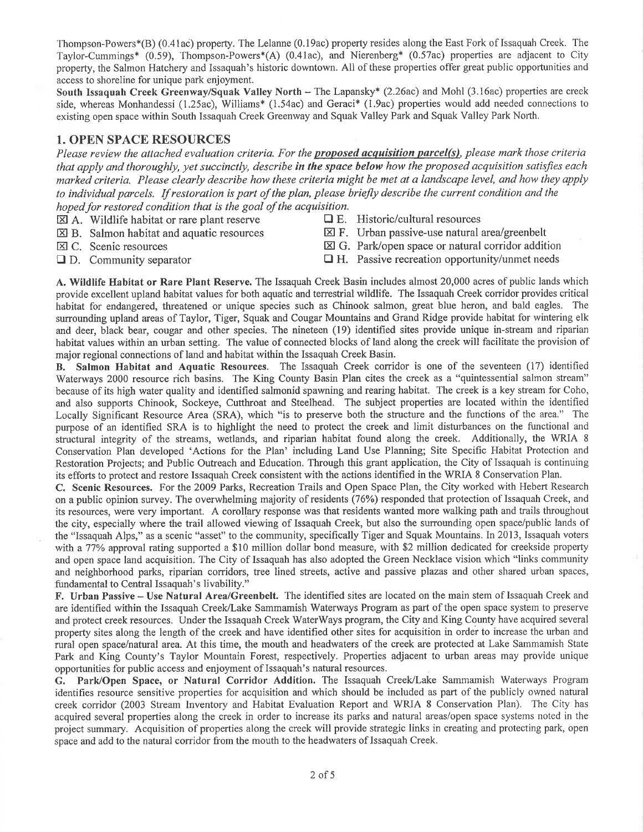Thompson-Powers\*(B) (0.41ac) properry. The Lelanne (0.l9ac) property resides along the East Fork of Issaquah Creek. The Taylor-Cummings\* (0.59), Thompson-Powers\*(A) (0.41ac), and Nierenberg\* (0.57ac) properties are adjacent to City property, the Salmon Hatchery and Issaquah's historic downtown. All of these properties offer great public opportunities and access to shoreline for unique park enjoyment.

South Issaquah Creek Greenway/Squak Valley North – The Lapansky\*  $(2.26ac)$  and Mohl  $(3.16ac)$  properties are creek side, whereas Monhandessi (1.25ac), Williams\* (1.54ac) and Geraci\* (1.9ac) properties would add needed connections to existing open space within South Issaquah Creek Greenway and Squak Valley Park and Squak Valley Park North.

# 1. OPEN SPACE RESOURCES

Please review the attached evaluation criteria. For the **proposed acquisition parcel(s)**, please mark those criteria that apply and thoroughly, yet succinctly, describe in the space below how the proposed acquisition satisfies each marked criteria. Please clearly describe how these criteria might be met at a landscape level, and how they apply to individual parcels. If restoraîion is part of the plan, please briefly describe the current condition and the hoped for restored condition that is the goal of the acquisition.<br> $[\overline{\mathbf{x}}]$  A. Wildlife habitat or rare plant reserve  $\Box$  E. Historic/cultural resources

- 
- $\boxtimes$  A. Wildlife habitat or rare plant reserve  $\boxtimes$  B. Salmon habitat and aquatic resources
- $\boxtimes$  F. Urban passive-use natural area/greenbelt
- 
- 
- E C. Scenic resources E G. Park/open space or natural corridor addition<br>
D. Community separator H. Passive recreation opportunity/unmet needs
	- $\Box$  H. Passive recreation opportunity/unmet needs

A. Wildlife Habitat or Rare Plant Reserve. The Issaquah Creek Basin includes almost 20,000 acres of public lands which provide excellent upland habitat values for both aquatic and terrestrial wildlife. The Issaquah Creek corridor provides critical habitat for endangered, threatened or unique species such as Chinook salmon, great blue heron, and bald eagles. The surrounding upland areas of Taylor, Tiger, Squak and Cougar Mountains and Grand Ridge provide habitat for wintering elk and deer, black bear, cougar and other species. The nineteen (19) identifred sites provide unique in-stream and riparian habitat values within an urban setting. The value of connected blocks of land along the creek will facilitate the provision of major regional connections of land and habitat within the Issaquah Creek Basin.

B. Salmon Habitat and Aquatic Resources. The Issaquah Creek corridor is one of the seventeen (17) identihed Waterways 2000 resource rich basins. The King County Basin Plan cites the creek as a "quintessential salmon stream" because of its high water quality and identified salmonid spawning and rearing habitat. The creek is a key stream for Coho, and also supports Chinook, Sockeye, Cutthroat and Steelhead. The subject properties are located within the identified Locally Significant Resource Area (SRA), which "is to preserve both the structure and the functions of the area." The puryose of an identified SRA is to highlight the need to protect the creek and limit disturbances on the functional and structural integrity of the streams, wetlands, and riparian habitat found along the creek. Additionally, the WRIA <sup>8</sup> Conservation Plan developed 'Actions for the Plan' including Land Use Planning; Site Specific Habitat Protection and Restoration Projects; and Public Outreach and Education. Through this grant application, the City of Issaquah is continuing its efforts to protect and restore Issaquah Creek consistent with the actions identified in the WRIA 8 Conservation Plan.

C. Scenic Resources. For the 2009 Parks, Recreation Trails and Open Space Plan, the City worked with Hebert Research on a public opinion survey. The overwhelming majority of residents (76%) responded that protection of Issaquah Creek, and its resources, were very important. A corollary response was that residents wanted more walking path and trails throughout the city, especially where the trail allowed viewing of Issaquah Creek, but also the surrounding open space/public lands of the "Issaquah Alps," as a scenic "asset" to the community, specifically Tiger and Squak Mountains. In 2013, Issaquah voters with a 77% approval rating supported a \$10 million dollar bond measure, with \$2 million dedicated for creekside property and open space land acquisition. The City of Issaquah has also adopted the Green Necklace vision which "links community and neighborhood parks, riparian corridors, tree lined streets, active and passive plazas and other shared urban spaces, fundamental to Central Issaquah's livability."

F. Urban Passive - Use Natural Area/Greenbelt. The identified sites are located on the main stem of Issaquah Creek and are identified within the Issaquah Creek/Lake Sammamish Waterways Program as part of the open space system to preserve and protect creek resources. Under the Issaquah Creek WaterWays program, the City and King County have acquired several property sites along the length of the creek and have identified other sites for acquisition in order to increase the urban and rural open space/natural area. At this time, the mouth and headwaters of the creek are protected at Lake Sammamish State Park and King County's Taylor Mountain Forest, respectively. Properties adjacent to urban areas may provide unique opportunities for public access and enjoyment of Issaquah's natural resources.

G. Park/Open Space, or Natural Corridor Addition. The Issaquah Creek/Lake Sammamish Waterways Program identifies resource sensitive properties for acquisition and which should be included as part of the publicly owned natural creek corridor (2003 Stream Inventory and Habitat Evaluation Report and WRIA 8 Conservation Plan). The City has acquired several properties along the creek in order to increase its parks and natural areas/open space systems noted in the project summary. Acquisition of properties along the creek will provide strategic links in creating and protecting park, open space and add to the natural corridor from the mouth to the headwaters of Issaquah Creek.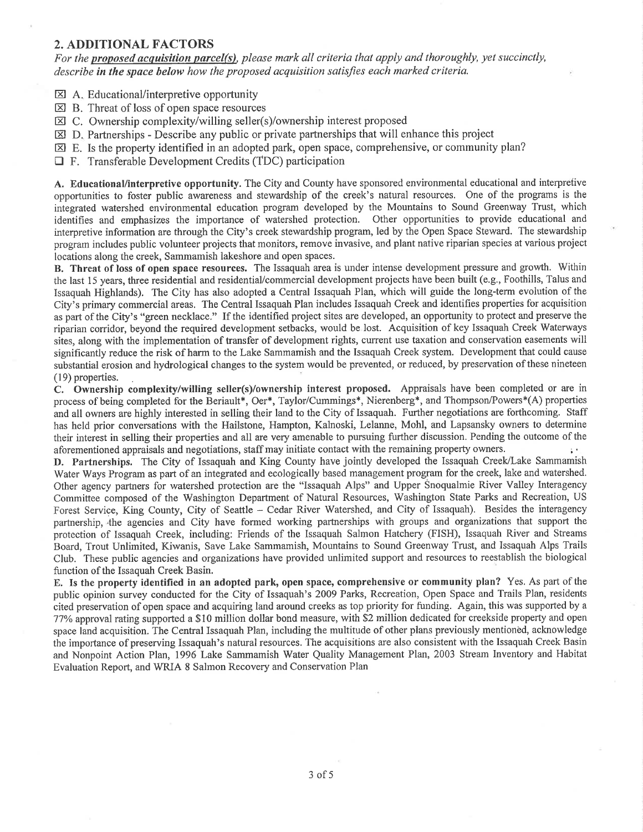### 2. ADDITIONAL FACTORS

For the proposed acquisition parcel(s), please mark all criteria that apply and thoroughly, yet succinctly, describe in the space below how the proposed acquisition satisfies each marked criteria.

**Exi** A. Educational/interpretive opportunity

- El B. Threat of loss of open space resources
- E] C. Ownership complexity/willing seller(s)/ownership interest proposed
- $\boxtimes$  D. Partnerships Describe any public or private partnerships that will enhance this project
- $\boxtimes$  E. Is the property identified in an adopted park, open space, comprehensive, or community plan?
- $\Box$  F. Transferable Development Credits (TDC) participation

A. Educational/interpretive opportunity. The City and County have sponsored environmental educational and interpretive opportunities to foster public awareness and stewardship of the creek's natural resources. One of the programs is the integrated watershed environmental education program developed by the Mountains to Sound Greenway Trust, which identifies and emphasizes the importance of watershed protection. Other opportunities to provide educational and interpretive information are through the City's creek stewardship program, led by the Open Space Steward. The stewardship program includes public volunteer projects that monitors, remove invasive, and plant native riparian species at various project locations along the creek, Sammamish lakeshore and open spaces.

B. Threat of loss of open space resources. The Issaquah area is under intense development pressure and growth. Within the last 15 years, three residential and residentiaUcommercial development projects have been built (e.g., Foothills, Talus and Issaquah Highlands). The City has also adopted a Central Issaquah Plan, which will guide the long-term evolution of the City's primary commercial areas. The Central Issaquah Plan includes Issaquah Creek and identifies properties for acquisition as part of the City's "green necklace." If the identified project sites are developed, an opportunity to protect and preserve the riparian corridor, beyond the required development setbacks, would be lost. Acquisition of key Issaquah Creek Waterways sites, along with the implementation of transfer of development rights, current use taxation and conservation easements will significantly reduce the risk of harm to the Lake Sammamish and the Issaquah Creek system. Development that could cause substantial erosion and hydrological changes to the system would be prevented, or reduced, by preservation ofthese nineteen (19) properties.

C. Ownership complexity/willing seller(s)/ownership interest proposed. Appraisals have been completed or are in process of being completed for the Beriault\*, Oer\*, Taylor/Cummings\*, Nierenberg\*, and Thompson/Powers\*(A) properties and all owners are highly interested in selling their land to the City of Issaquah. Further negotiations are forthcoming. Staff has held prior conversations with the Hailstone, Hampton, Kalnoski, Lelanne, Mohl, and Lapsansky owners to determine their interest in selling their properties and all are very amenable to pwsuing further discussion. Pending the outcome of the aforementioned appraisals and negotiations, staff may initiate contact with the remaining property owners.

D. Partnerships. The City of Issaquah and King County have jointly developed the Issaquah Creek/Lake Sammamish Water Ways Program as part of an integrated and ecologically based management program for the creek, lake and watershed. Other agency partners for watershed protection are the "Issaquah Alps" and Upper Snoqualmie River Valley Interagency Committee composed of the Washington Department of Natural Resources, Washington State Parks and Recreation, US Forest Service, King County, City of Seattle - Cedar River Watershed, and City of Issaquah). Besides the interagency partnership, .the agencies and City have formed working parmerships with groups and organizations that support the protection of Issaquah Creek, including: Friends of the Issaquah Salmon Hatchery (FISH), Issaquah River and Streams Board, Trout Unlimited, Kiwanis, Save Lake Sammamish, Mountains to Sound Greenway Trust, and Issaquah Alps Trails Club. These public agencies and organizations have provided unlimited support and resources to reestablish the biological function of the Issaquah Creek Basin.

E. Is the property identified in an adopted park, open space, comprehensive or community plan? Yes. As part of the public opinion survey conducted for the City of Issaquah's 2009 Parks, Recreation, Open Space and Trails Plan, residents cited preservation of open space and acquiring land around creeks as top priority for funding. Again, this was supported by <sup>a</sup> 77Yo approval rating supported a \$10 million dollar bond measure, with \$2 million dedicated for creekside property and open space land acquisition. The Central Issaquah Plan, including the multitude of other plans previously mentionèd, acknowledge the importance of preserving Issaquah's natural resources. The acquisitions are also consistent with the Issaquah Creek Basin and Nonpoint Action Plan, 1996 Lake Sammamish Water Quality Management Plan, 2003 Stream Inventory and Habitat Evaluation Report, and WRIA 8 Salmon Recovery and Conservation Plan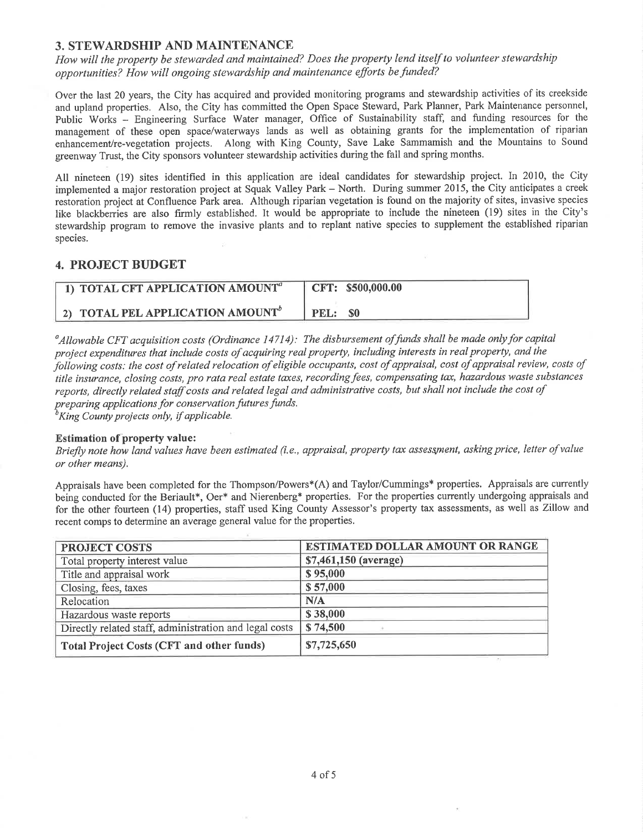# 3. STEWARDSHIP AND MAINTENANCE

How will the property be stewarded and maintained? Does the property lend itself to volunteer stewardship opportunities? How will ongoing stewardship and maintenance efforts be funded?

Over the last 20 years, the City has acquired and provided monitoring programs and stewardship activities of its creekside and upland properties. Also, the City has committed the Open Space Steward, Park Planner, Park Maintenance personnel, Public Works - Engineering Surface Water manager, Office of Sustainability staff, and funding resources for the management of these open space/waterways lands as well as obtaining grants for the implementation of riparian enhancement/re-vegetation projects. Along with King County, Save Lake Sammamish and the Mountains to Sound greenway Trust, the City sponsors volunteer stewardship activities during the fall and spring months.

All nineteen (19) sites identified in this application are ideal candidates for stewardship project. In 2010, the City implemented a major restoration project at Squak Valley Park - North. During summer 2015, the City anticipates a creek restoration project at Confluence Park area. Although riparian vegetation is found on the majority of sites, invasive species like blackberries are also firmly established. It would be appropriate to include the nineteen (19) sites in the City's stewardship program to remove the invasive plants and to replant native species to supplement the established riparian species.

 $\widetilde{\chi}^{\prime}_{1}$ 

## 4. PROJECT BUDGET

| 1) TOTAL CFT APPLICATION AMOUNT <sup>a</sup> | CFT: \$500,000.00 |
|----------------------------------------------|-------------------|
| 2) TOTAL PEL APPLICATION AMOUNT <sup>o</sup> | PEL: \$0          |

 $^a$ Allowable CFT acquisition costs (Ordinance 14714): The disbursement of funds shall be made only for capital project expenditures that include costs of acquiring real property, including interests in real property, and the following costs: the cost of related relocation of eligible occupants, cost of appraisal, cost of appraisal review, costs of title insurance, closing costs, pro rata real estate taxes, recording fees, compensating tax, hazardous waste substances reports, directly related staff costs and related legal and adminístrative costs, but shall not include the cost of preparing applications for conservation futures funds.<br> ${}^{b}$ King County projects only, if applicable.

#### Estimation of property value:

Briefly note how land values have been estimated (i.e., appraisal, property tax assessment, asking price, letter of value or other means).

Appraisals have been completed for the Thompson/Powers\*(A) and Taylor/Cummings\* properties. Appraisals are currently being conducted for the Beriault\*, Oer\* and Nierenberg\* properties. For the properties currently undergoing appraisals and for the other fourteen (14) properties, staff used King County Assessor's property tax assessments, as well as Zillow and recent comps to determine an average general value for the properties.

| <b>PROJECT COSTS</b>                                   | <b>ESTIMATED DOLLAR AMOUNT OR RANGE</b> |  |
|--------------------------------------------------------|-----------------------------------------|--|
| Total property interest value                          | \$7,461,150 (average)                   |  |
| Title and appraisal work                               | \$95,000                                |  |
| Closing, fees, taxes                                   | \$57,000                                |  |
| Relocation                                             | N/A                                     |  |
| Hazardous waste reports                                | \$38,000                                |  |
| Directly related staff, administration and legal costs | \$74,500                                |  |
| <b>Total Project Costs (CFT and other funds)</b>       | \$7,725,650                             |  |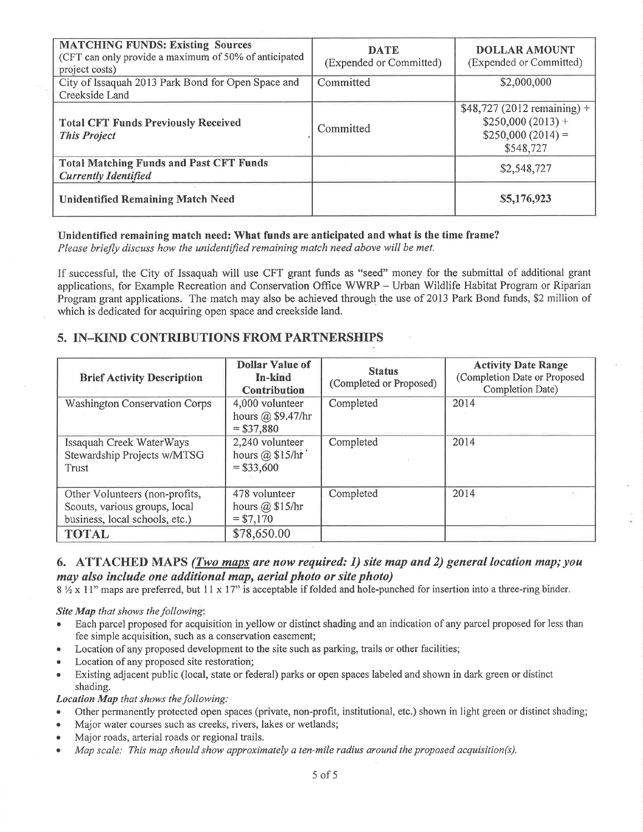| <b>MATCHING FUNDS: Existing Sources</b><br>(CFT can only provide a maximum of 50% of anticipated<br>project costs) | <b>DATE</b><br>(Expended or Committed) | <b>DOLLAR AMOUNT</b><br>(Expended or Committed)                                      |
|--------------------------------------------------------------------------------------------------------------------|----------------------------------------|--------------------------------------------------------------------------------------|
| City of Issaquah 2013 Park Bond for Open Space and<br>Creekside Land                                               | Committed                              | \$2,000,000                                                                          |
| <b>Total CFT Funds Previously Received</b><br><b>This Project</b>                                                  | Committed                              | \$48,727 (2012 remaining) +<br>$$250,000(2013) +$<br>$$250,000(2014) =$<br>\$548,727 |
| <b>Total Matching Funds and Past CFT Funds</b><br><b>Currently Identified</b>                                      |                                        | \$2,548,727                                                                          |
| <b>Unidentified Remaining Match Need</b>                                                                           |                                        | \$5,176,923                                                                          |

#### Unidentified remaining match need: What funds are anticipated and what is the time frame?

Please briefly discuss how the unidentified remaining match need above will be met.

If successful, the City of Issaquah will use CFT grant funds as "seed" money for the submittal of additional grant applications, for Example Recreation and Conservation Office WWRP - Urban Wildlife Habitat Program or Riparian Program grant applications. The match may also be achieved through the use of 2013 Park Bond funds, \$2 million of which is dedicated for acquiring open space and creekside land.

# 5. IN-KIND CONTRIBUTIONS FROM PARTNERSHIPS

| <b>Brief Activity Description</b>                                                                 | <b>Dollar Value of</b><br>In-kind<br>Contribution     | <b>Status</b><br>(Completed or Proposed) | <b>Activity Date Range</b><br>(Completion Date or Proposed<br>Completion Date) |
|---------------------------------------------------------------------------------------------------|-------------------------------------------------------|------------------------------------------|--------------------------------------------------------------------------------|
| <b>Washington Conservation Corps</b>                                                              | 4,000 volunteer<br>hours @ \$9.47/hr<br>$= $37,880$   | Completed                                | 2014                                                                           |
| Issaquah Creek WaterWays<br>Stewardship Projects w/MTSG<br><b>Trust</b>                           | 2,240 volunteer<br>hours $(a)$ \$15/hr<br>$= $33,600$ | Completed                                | 2014                                                                           |
| Other Volunteers (non-profits,<br>Scouts, various groups, local<br>business, local schools, etc.) | 478 volunteer<br>hours $@$ \$15/hr<br>$= $7,170$      | Completed                                | 2014                                                                           |
| <b>TOTAL</b>                                                                                      | \$78,650.00                                           |                                          |                                                                                |

# 6. ATTACHED MAPS (Two maps are now required: 1) site map and 2) general location map; you may also include one additional map, aerial photo or site photo)

8 1/2 x 11" maps are preferred, but 11 x 17" is acceptable if folded and hole-punched for insertion into a three-ring binder.

#### Site Map that shows the following:

- Each parcel proposed for acquisition in yellow or distinct shading and an indication of any parcel proposed for less than fee simple acquisition, such as a conservation easement;
- Location of any proposed development to the site such as parking, trails or other facilities;
- Location of any proposed site restoration;
- Existing adjacent public (local, state or federal) parks or open spaces labeled and shown in dark green or distinct shading.

#### **Location Map** that shows the following:

- Other permanently protected open spaces (private, non-profit, institutional, etc.) shown in light green or distinct shading;
- Major water courses such as creeks, rivers, lakes or wetlands;
- Major roads, arterial roads or regional trails.
- Map scale: This map should show approximately a ten-mile radius around the proposed acquisition(s).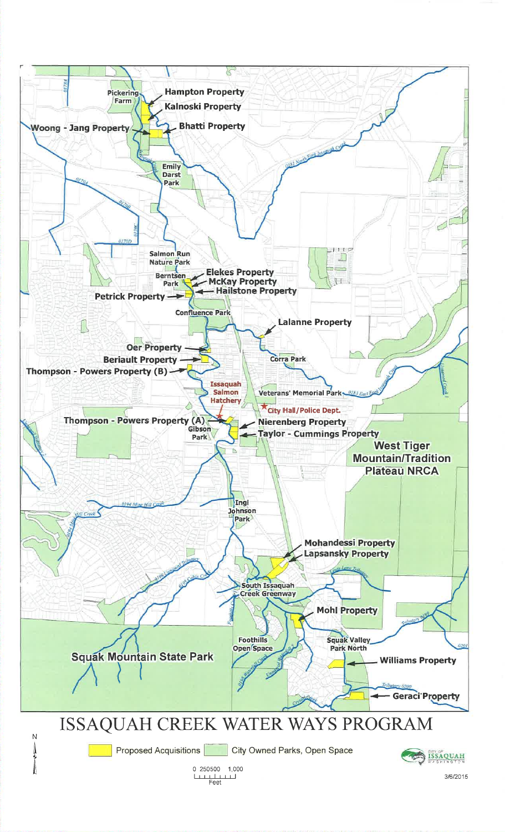